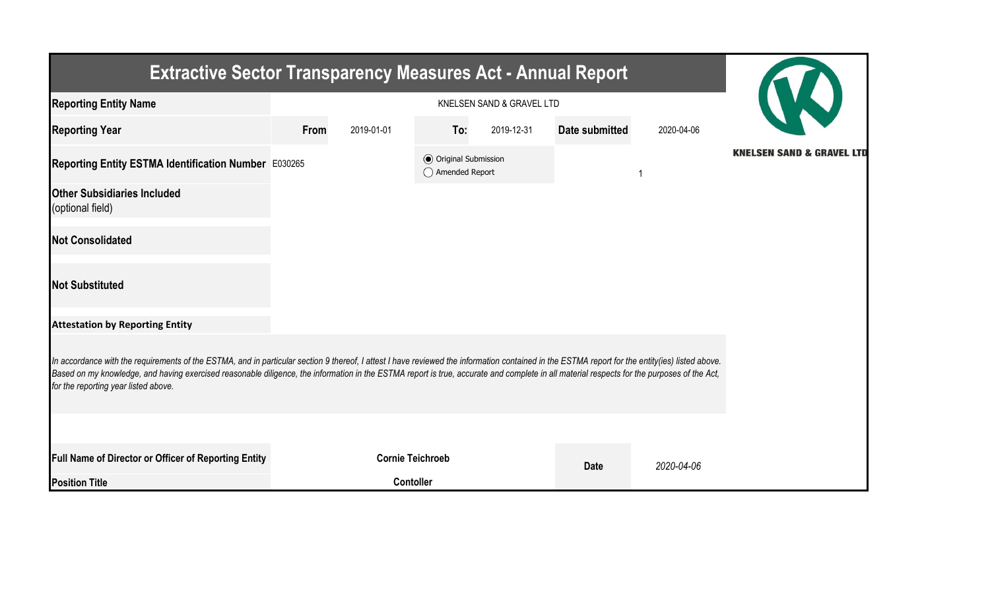| <b>Extractive Sector Transparency Measures Act - Annual Report</b>                                                                                                                                                                                                                                                                                                                                                                    |      |                         |                                                  |            |                |            |                                      |  |  |  |
|---------------------------------------------------------------------------------------------------------------------------------------------------------------------------------------------------------------------------------------------------------------------------------------------------------------------------------------------------------------------------------------------------------------------------------------|------|-------------------------|--------------------------------------------------|------------|----------------|------------|--------------------------------------|--|--|--|
| <b>Reporting Entity Name</b>                                                                                                                                                                                                                                                                                                                                                                                                          |      |                         |                                                  |            |                |            |                                      |  |  |  |
| <b>Reporting Year</b>                                                                                                                                                                                                                                                                                                                                                                                                                 | From | 2019-01-01              | To:                                              | 2019-12-31 | Date submitted | 2020-04-06 |                                      |  |  |  |
| Reporting Entity ESTMA Identification Number E030265                                                                                                                                                                                                                                                                                                                                                                                  |      |                         | <b>◎</b> Original Submission<br>◯ Amended Report |            |                |            | <b>KNELSEN SAND &amp; GRAVEL LTD</b> |  |  |  |
| <b>Other Subsidiaries Included</b><br>(optional field)                                                                                                                                                                                                                                                                                                                                                                                |      |                         |                                                  |            |                |            |                                      |  |  |  |
| <b>Not Consolidated</b>                                                                                                                                                                                                                                                                                                                                                                                                               |      |                         |                                                  |            |                |            |                                      |  |  |  |
| <b>Not Substituted</b>                                                                                                                                                                                                                                                                                                                                                                                                                |      |                         |                                                  |            |                |            |                                      |  |  |  |
| <b>Attestation by Reporting Entity</b>                                                                                                                                                                                                                                                                                                                                                                                                |      |                         |                                                  |            |                |            |                                      |  |  |  |
| In accordance with the requirements of the ESTMA, and in particular section 9 thereof, I attest I have reviewed the information contained in the ESTMA report for the entity(ies) listed above.<br>Based on my knowledge, and having exercised reasonable diligence, the information in the ESTMA report is true, accurate and complete in all material respects for the purposes of the Act,<br>for the reporting year listed above. |      |                         |                                                  |            |                |            |                                      |  |  |  |
|                                                                                                                                                                                                                                                                                                                                                                                                                                       |      |                         |                                                  |            |                |            |                                      |  |  |  |
| <b>Full Name of Director or Officer of Reporting Entity</b>                                                                                                                                                                                                                                                                                                                                                                           |      | <b>Cornie Teichroeb</b> |                                                  |            | <b>Date</b>    | 2020-04-06 |                                      |  |  |  |
| <b>Position Title</b>                                                                                                                                                                                                                                                                                                                                                                                                                 |      | <b>Contoller</b>        |                                                  |            |                |            |                                      |  |  |  |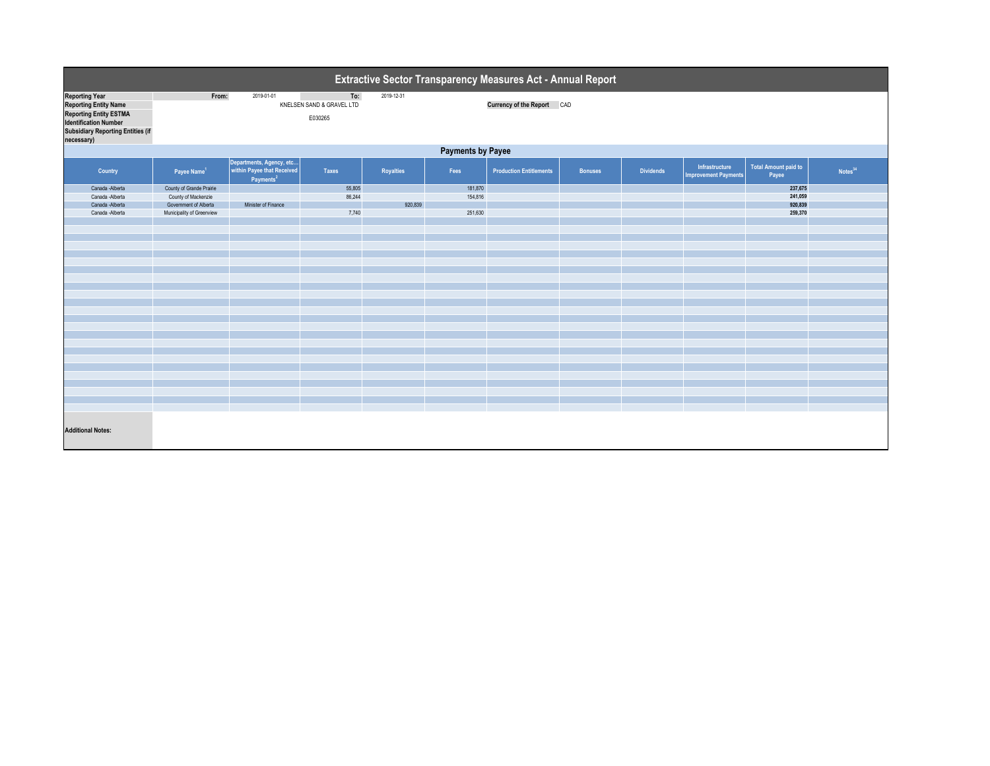| <b>Extractive Sector Transparency Measures Act - Annual Report</b>                                                                                                               |                           |                                                                                        |                                             |            |         |                                   |                |                  |                                               |                                      |            |  |
|----------------------------------------------------------------------------------------------------------------------------------------------------------------------------------|---------------------------|----------------------------------------------------------------------------------------|---------------------------------------------|------------|---------|-----------------------------------|----------------|------------------|-----------------------------------------------|--------------------------------------|------------|--|
| <b>Reporting Year</b><br><b>Reporting Entity Name</b><br><b>Reporting Entity ESTMA</b><br><b>Identification Number</b><br><b>Subsidiary Reporting Entities (if</b><br>necessary) | From:                     | 2019-01-01                                                                             | To:<br>KNELSEN SAND & GRAVEL LTD<br>E030265 | 2019-12-31 |         | <b>Currency of the Report CAD</b> |                |                  |                                               |                                      |            |  |
| <b>Payments by Payee</b>                                                                                                                                                         |                           |                                                                                        |                                             |            |         |                                   |                |                  |                                               |                                      |            |  |
| <b>Country</b>                                                                                                                                                                   | Payee Name <sup>1</sup>   | Departments, Agency, etc  <br>  within Payee that Received  <br>Payments <sup>21</sup> | <b>Taxes</b>                                | Royalties  | Fees    | <b>Production Entitlements</b>    | <b>Bonuses</b> | <b>Dividends</b> | Infrastructure<br><b>Improvement Payments</b> | <b>Total Amount paid to</b><br>Payee | Notes $34$ |  |
| Canada - Alberta                                                                                                                                                                 | County of Grande Prairie  |                                                                                        | 55,805                                      |            | 181,870 |                                   |                |                  |                                               | 237,675                              |            |  |
| Canada - Alberta                                                                                                                                                                 | County of Mackenzie       |                                                                                        | 86,244                                      |            | 154,816 |                                   |                |                  |                                               | 241,059                              |            |  |
| Canada - Alberta                                                                                                                                                                 | Government of Alberta     | Minister of Finance                                                                    |                                             | 920,839    |         |                                   |                |                  |                                               | 920,839                              |            |  |
| Canada - Alberta                                                                                                                                                                 | Municipality of Greenview |                                                                                        | 7,740                                       |            | 251,630 |                                   |                |                  |                                               | 259,370                              |            |  |
|                                                                                                                                                                                  |                           |                                                                                        |                                             |            |         |                                   |                |                  |                                               |                                      |            |  |
|                                                                                                                                                                                  |                           |                                                                                        |                                             |            |         |                                   |                |                  |                                               |                                      |            |  |
|                                                                                                                                                                                  |                           |                                                                                        |                                             |            |         |                                   |                |                  |                                               |                                      |            |  |
|                                                                                                                                                                                  |                           |                                                                                        |                                             |            |         |                                   |                |                  |                                               |                                      |            |  |
|                                                                                                                                                                                  |                           |                                                                                        |                                             |            |         |                                   |                |                  |                                               |                                      |            |  |
|                                                                                                                                                                                  |                           |                                                                                        |                                             |            |         |                                   |                |                  |                                               |                                      |            |  |
|                                                                                                                                                                                  |                           |                                                                                        |                                             |            |         |                                   |                |                  |                                               |                                      |            |  |
|                                                                                                                                                                                  |                           |                                                                                        |                                             |            |         |                                   |                |                  |                                               |                                      |            |  |
|                                                                                                                                                                                  |                           |                                                                                        |                                             |            |         |                                   |                |                  |                                               |                                      |            |  |
|                                                                                                                                                                                  |                           |                                                                                        |                                             |            |         |                                   |                |                  |                                               |                                      |            |  |
|                                                                                                                                                                                  |                           |                                                                                        |                                             |            |         |                                   |                |                  |                                               |                                      |            |  |
|                                                                                                                                                                                  |                           |                                                                                        |                                             |            |         |                                   |                |                  |                                               |                                      |            |  |
|                                                                                                                                                                                  |                           |                                                                                        |                                             |            |         |                                   |                |                  |                                               |                                      |            |  |
|                                                                                                                                                                                  |                           |                                                                                        |                                             |            |         |                                   |                |                  |                                               |                                      |            |  |
|                                                                                                                                                                                  |                           |                                                                                        |                                             |            |         |                                   |                |                  |                                               |                                      |            |  |
|                                                                                                                                                                                  |                           |                                                                                        |                                             |            |         |                                   |                |                  |                                               |                                      |            |  |
|                                                                                                                                                                                  |                           |                                                                                        |                                             |            |         |                                   |                |                  |                                               |                                      |            |  |
|                                                                                                                                                                                  |                           |                                                                                        |                                             |            |         |                                   |                |                  |                                               |                                      |            |  |
|                                                                                                                                                                                  |                           |                                                                                        |                                             |            |         |                                   |                |                  |                                               |                                      |            |  |
|                                                                                                                                                                                  |                           |                                                                                        |                                             |            |         |                                   |                |                  |                                               |                                      |            |  |
|                                                                                                                                                                                  |                           |                                                                                        |                                             |            |         |                                   |                |                  |                                               |                                      |            |  |
| <b>Additional Notes:</b>                                                                                                                                                         |                           |                                                                                        |                                             |            |         |                                   |                |                  |                                               |                                      |            |  |